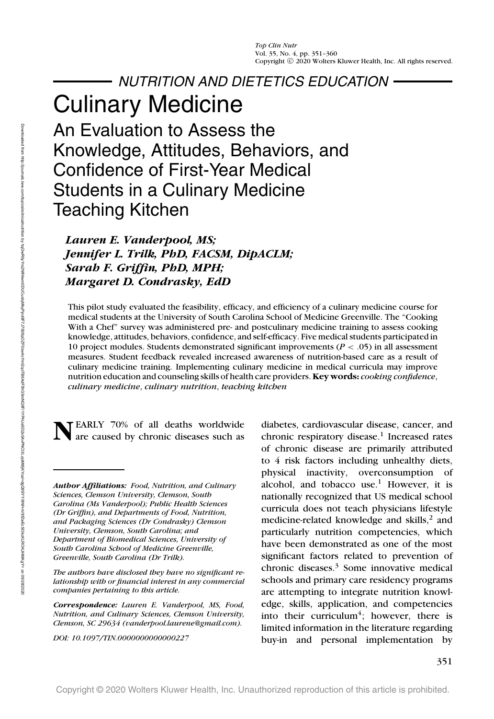## NUTRITION AND DIETETICS EDUCATION

# Culinary Medicine An Evaluation to Assess the Knowledge, Attitudes, Behaviors, and Confidence of First-Year Medical Students in a Culinary Medicine

Teaching Kitchen

## *Lauren E. Vanderpool, MS; Jennifer L. Trilk, PhD, FACSM, DipACLM; Sarah F. Griffin, PhD, MPH; Margaret D. Condrasky, EdD*

This pilot study evaluated the feasibility, efficacy, and efficiency of a culinary medicine course for medical students at the University of South Carolina School of Medicine Greenville. The "Cooking With a Chef" survey was administered pre- and postculinary medicine training to assess cooking knowledge, attitudes, behaviors, confidence, and self-efficacy. Five medical students participated in 10 project modules. Students demonstrated significant improvements (*P* < .05) in all assessment measures. Student feedback revealed increased awareness of nutrition-based care as a result of culinary medicine training. Implementing culinary medicine in medical curricula may improve nutrition education and counseling skills of health care providers. **Key words:** *cooking confidence*, *culinary medicine*, *culinary nutrition*, *teaching kitchen*

**N**EARLY 70% of all deaths worldwide are caused by chronic diseases such as

*The authors have disclosed they have no significant relationship with or financial interest in any commercial companies pertaining to this article.*

*Correspondence: Lauren E. Vanderpool, MS, Food, Nutrition, and Culinary Sciences, Clemson University, Clemson, SC 29634 [\(vanderpool.laurene@gmail.com\)](mailto:vanderpool.laurene@gmail.com).*

*DOI: 10.1097/TIN.0000000000000227*

diabetes, cardiovascular disease, cancer, and chronic respiratory disease. $1$  Increased rates of chronic disease are primarily attributed to 4 risk factors including unhealthy diets, physical inactivity, overconsumption of alcohol, and tobacco use.<sup>1</sup> However, it is nationally recognized that US medical school curricula does not teach physicians lifestyle medicine-related knowledge and skills, $<sup>2</sup>$  and</sup> particularly nutrition competencies, which have been demonstrated as one of the most significant factors related to prevention of chronic diseases.3 Some innovative medical schools and primary care residency programs are attempting to integrate nutrition knowledge, skills, application, and competencies into their curriculum<sup>4</sup>; however, there is limited information in the literature regarding buy-in and personal implementation by

*Author Affiliations: Food, Nutrition, and Culinary Sciences, Clemson University, Clemson, South Carolina (Ms Vanderpool); Public Health Sciences (Dr Griffin), and Departments of Food, Nutrition, and Packaging Sciences (Dr Condrasky) Clemson University, Clemson, South Carolina; and Department of Biomedical Sciences, University of South Carolina School of Medicine Greenville, Greenville, South Carolina (Dr Trilk).*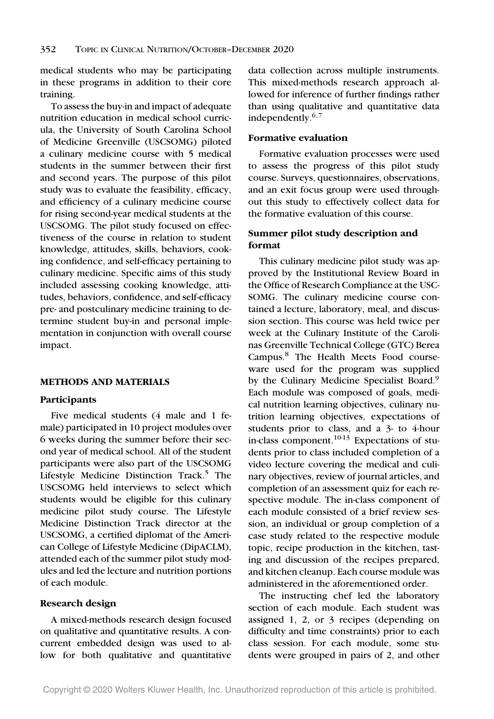medical students who may be participating in these programs in addition to their core training.

To assess the buy-in and impact of adequate nutrition education in medical school curricula, the University of South Carolina School of Medicine Greenville (USCSOMG) piloted a culinary medicine course with 5 medical students in the summer between their first and second years. The purpose of this pilot study was to evaluate the feasibility, efficacy, and efficiency of a culinary medicine course for rising second-year medical students at the USCSOMG. The pilot study focused on effectiveness of the course in relation to student knowledge, attitudes, skills, behaviors, cooking confidence, and self-efficacy pertaining to culinary medicine. Specific aims of this study included assessing cooking knowledge, attitudes, behaviors, confidence, and self-efficacy pre- and postculinary medicine training to determine student buy-in and personal implementation in conjunction with overall course impact.

#### **METHODS AND MATERIALS**

#### **Participants**

Five medical students (4 male and 1 female) participated in 10 project modules over 6 weeks during the summer before their second year of medical school. All of the student participants were also part of the USCSOMG Lifestyle Medicine Distinction Track.<sup>5</sup> The USCSOMG held interviews to select which students would be eligible for this culinary medicine pilot study course. The Lifestyle Medicine Distinction Track director at the USCSOMG, a certified diplomat of the American College of Lifestyle Medicine (DipACLM), attended each of the summer pilot study modules and led the lecture and nutrition portions of each module.

#### **Research design**

A mixed-methods research design focused on qualitative and quantitative results. A concurrent embedded design was used to allow for both qualitative and quantitative

data collection across multiple instruments. This mixed-methods research approach allowed for inference of further findings rather than using qualitative and quantitative data independently.6,7

#### **Formative evaluation**

Formative evaluation processes were used to assess the progress of this pilot study course. Surveys, questionnaires, observations, and an exit focus group were used throughout this study to effectively collect data for the formative evaluation of this course.

#### **Summer pilot study description and format**

This culinary medicine pilot study was approved by the Institutional Review Board in the Office of Research Compliance at the USC-SOMG. The culinary medicine course contained a lecture, laboratory, meal, and discussion section. This course was held twice per week at the Culinary Institute of the Carolinas Greenville Technical College (GTC) Berea Campus.8 The Health Meets Food courseware used for the program was supplied by the Culinary Medicine Specialist Board.<sup>9</sup> Each module was composed of goals, medical nutrition learning objectives, culinary nutrition learning objectives, expectations of students prior to class, and a 3- to 4-hour in-class component. $10-13$  Expectations of students prior to class included completion of a video lecture covering the medical and culinary objectives, review of journal articles, and completion of an assessment quiz for each respective module. The in-class component of each module consisted of a brief review session, an individual or group completion of a case study related to the respective module topic, recipe production in the kitchen, tasting and discussion of the recipes prepared, and kitchen cleanup. Each course module was administered in the aforementioned order.

The instructing chef led the laboratory section of each module. Each student was assigned 1, 2, or 3 recipes (depending on difficulty and time constraints) prior to each class session. For each module, some students were grouped in pairs of 2, and other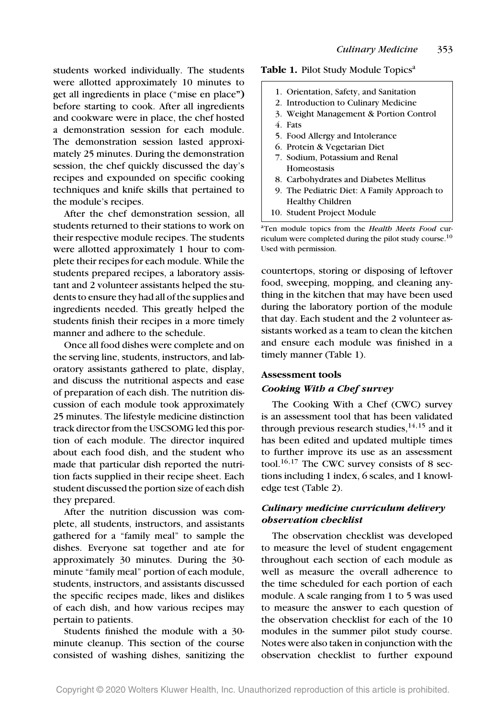students worked individually. The students were allotted approximately 10 minutes to get all ingredients in place ("mise en place**")** before starting to cook. After all ingredients and cookware were in place, the chef hosted a demonstration session for each module. The demonstration session lasted approximately 25 minutes. During the demonstration session, the chef quickly discussed the day's recipes and expounded on specific cooking techniques and knife skills that pertained to the module's recipes.

After the chef demonstration session, all students returned to their stations to work on their respective module recipes. The students were allotted approximately 1 hour to complete their recipes for each module. While the students prepared recipes, a laboratory assistant and 2 volunteer assistants helped the students to ensure they had all of the supplies and ingredients needed. This greatly helped the students finish their recipes in a more timely manner and adhere to the schedule.

Once all food dishes were complete and on the serving line, students, instructors, and laboratory assistants gathered to plate, display, and discuss the nutritional aspects and ease of preparation of each dish. The nutrition discussion of each module took approximately 25 minutes. The lifestyle medicine distinction track director from the USCSOMG led this portion of each module. The director inquired about each food dish, and the student who made that particular dish reported the nutrition facts supplied in their recipe sheet. Each student discussed the portion size of each dish they prepared.

After the nutrition discussion was complete, all students, instructors, and assistants gathered for a "family meal" to sample the dishes. Everyone sat together and ate for approximately 30 minutes. During the 30 minute "family meal" portion of each module, students, instructors, and assistants discussed the specific recipes made, likes and dislikes of each dish, and how various recipes may pertain to patients.

Students finished the module with a 30 minute cleanup. This section of the course consisted of washing dishes, sanitizing the

#### Table 1. Pilot Study Module Topics<sup>a</sup>

- 1. Orientation, Safety, and Sanitation
- 2. Introduction to Culinary Medicine
- 3. Weight Management & Portion Control
- 4. Fats
- 5. Food Allergy and Intolerance
- 6. Protein & Vegetarian Diet
- 7. Sodium, Potassium and Renal Homeostasis
- 8. Carbohydrates and Diabetes Mellitus
- 9. The Pediatric Diet: A Family Approach to Healthy Children
- 10. Student Project Module

aTen module topics from the *Health Meets Food* curriculum were completed during the pilot study course.10 Used with permission.

countertops, storing or disposing of leftover food, sweeping, mopping, and cleaning anything in the kitchen that may have been used during the laboratory portion of the module that day. Each student and the 2 volunteer assistants worked as a team to clean the kitchen and ensure each module was finished in a timely manner (Table 1).

#### **Assessment tools**

#### *Cooking With a Chef survey*

The Cooking With a Chef (CWC) survey is an assessment tool that has been validated through previous research studies,  $14, 15$  and it has been edited and updated multiple times to further improve its use as an assessment tool.<sup>16,17</sup> The CWC survey consists of 8 sections including 1 index, 6 scales, and 1 knowledge test (Table 2).

#### *Culinary medicine curriculum delivery observation checklist*

The observation checklist was developed to measure the level of student engagement throughout each section of each module as well as measure the overall adherence to the time scheduled for each portion of each module. A scale ranging from 1 to 5 was used to measure the answer to each question of the observation checklist for each of the 10 modules in the summer pilot study course. Notes were also taken in conjunction with the observation checklist to further expound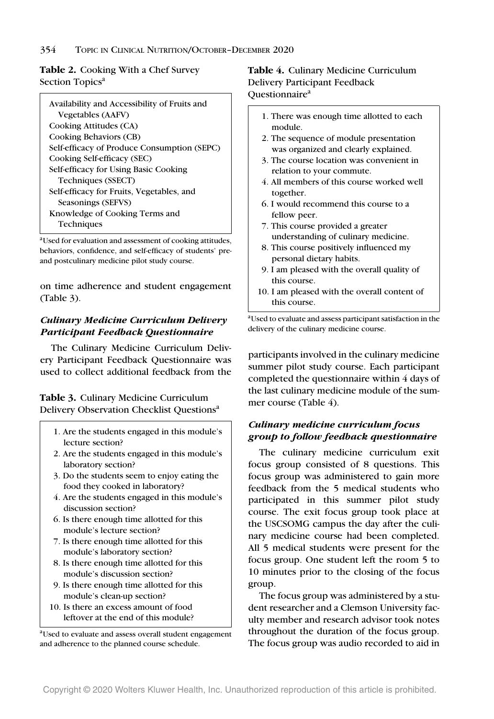## **Table 2.** Cooking With a Chef Survey Section Topics<sup>a</sup>

Availability and Accessibility of Fruits and Vegetables (AAFV) Cooking Attitudes (CA) Cooking Behaviors (CB) Self-efficacy of Produce Consumption (SEPC) Cooking Self-efficacy (SEC) Self-efficacy for Using Basic Cooking Techniques (SSECT) Self-efficacy for Fruits, Vegetables, and Seasonings (SEFVS) Knowledge of Cooking Terms and **Techniques** 

<sup>a</sup>Used for evaluation and assessment of cooking attitudes, behaviors, confidence, and self-efficacy of students' preand postculinary medicine pilot study course.

on time adherence and student engagement (Table 3).

## *Culinary Medicine Curriculum Delivery Participant Feedback Questionnaire*

The Culinary Medicine Curriculum Delivery Participant Feedback Questionnaire was used to collect additional feedback from the

**Table 3.** Culinary Medicine Curriculum Delivery Observation Checklist Questions<sup>a</sup>

- 1. Are the students engaged in this module's lecture section?
- 2. Are the students engaged in this module's laboratory section?
- 3. Do the students seem to enjoy eating the food they cooked in laboratory?
- 4. Are the students engaged in this module's discussion section?
- 6. Is there enough time allotted for this module's lecture section?
- 7. Is there enough time allotted for this module's laboratory section?
- 8. Is there enough time allotted for this module's discussion section?
- 9. Is there enough time allotted for this module's clean-up section?
- 10. Is there an excess amount of food leftover at the end of this module?

<sup>a</sup>Used to evaluate and assess overall student engagement and adherence to the planned course schedule.

### **Table 4.** Culinary Medicine Curriculum Delivery Participant Feedback Questionnaire<sup>a</sup>

- 1. There was enough time allotted to each module.
- 2. The sequence of module presentation was organized and clearly explained.
- 3. The course location was convenient in relation to your commute.
- 4. All members of this course worked well together.
- 6. I would recommend this course to a fellow peer.
- 7. This course provided a greater understanding of culinary medicine.
- 8. This course positively influenced my personal dietary habits.
- 9. I am pleased with the overall quality of this course.
- 10. I am pleased with the overall content of this course.

aUsed to evaluate and assess participant satisfaction in the delivery of the culinary medicine course.

participants involved in the culinary medicine summer pilot study course. Each participant completed the questionnaire within 4 days of the last culinary medicine module of the summer course (Table 4).

## *Culinary medicine curriculum focus group to follow feedback questionnaire*

The culinary medicine curriculum exit focus group consisted of 8 questions. This focus group was administered to gain more feedback from the 5 medical students who participated in this summer pilot study course. The exit focus group took place at the USCSOMG campus the day after the culinary medicine course had been completed. All 5 medical students were present for the focus group. One student left the room 5 to 10 minutes prior to the closing of the focus group.

The focus group was administered by a student researcher and a Clemson University faculty member and research advisor took notes throughout the duration of the focus group. The focus group was audio recorded to aid in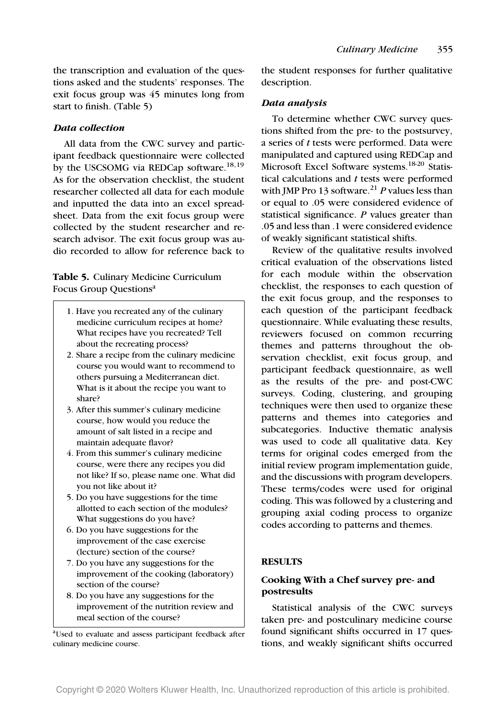the transcription and evaluation of the questions asked and the students' responses. The exit focus group was 45 minutes long from start to finish. (Table 5)

#### *Data collection*

All data from the CWC survey and participant feedback questionnaire were collected by the USCSOMG via REDCap software.18,19 As for the observation checklist, the student researcher collected all data for each module and inputted the data into an excel spreadsheet. Data from the exit focus group were collected by the student researcher and research advisor. The exit focus group was audio recorded to allow for reference back to

**Table 5.** Culinary Medicine Curriculum Focus Group Questions<sup>a</sup>

- 1. Have you recreated any of the culinary medicine curriculum recipes at home? What recipes have you recreated? Tell about the recreating process?
- 2. Share a recipe from the culinary medicine course you would want to recommend to others pursuing a Mediterranean diet. What is it about the recipe you want to share?
- 3. After this summer's culinary medicine course, how would you reduce the amount of salt listed in a recipe and maintain adequate flavor?
- 4. From this summer's culinary medicine course, were there any recipes you did not like? If so, please name one. What did you not like about it?
- 5. Do you have suggestions for the time allotted to each section of the modules? What suggestions do you have?
- 6. Do you have suggestions for the improvement of the case exercise (lecture) section of the course?
- 7. Do you have any suggestions for the improvement of the cooking (laboratory) section of the course?
- 8. Do you have any suggestions for the improvement of the nutrition review and meal section of the course?
- aUsed to evaluate and assess participant feedback after culinary medicine course.

the student responses for further qualitative description.

#### *Data analysis*

To determine whether CWC survey questions shifted from the pre- to the postsurvey, a series of *t* tests were performed. Data were manipulated and captured using REDCap and Microsoft Excel Software systems.18-20 Statistical calculations and *t* tests were performed with JMP Pro 13 software.<sup>21</sup> *P* values less than or equal to .05 were considered evidence of statistical significance. *P* values greater than .05 and less than .1 were considered evidence of weakly significant statistical shifts.

Review of the qualitative results involved critical evaluation of the observations listed for each module within the observation checklist, the responses to each question of the exit focus group, and the responses to each question of the participant feedback questionnaire. While evaluating these results, reviewers focused on common recurring themes and patterns throughout the observation checklist, exit focus group, and participant feedback questionnaire, as well as the results of the pre- and post-CWC surveys. Coding, clustering, and grouping techniques were then used to organize these patterns and themes into categories and subcategories. Inductive thematic analysis was used to code all qualitative data. Key terms for original codes emerged from the initial review program implementation guide, and the discussions with program developers. These terms/codes were used for original coding. This was followed by a clustering and grouping axial coding process to organize codes according to patterns and themes.

#### **RESULTS**

## **Cooking With a Chef survey pre- and postresults**

Statistical analysis of the CWC surveys taken pre- and postculinary medicine course found significant shifts occurred in 17 questions, and weakly significant shifts occurred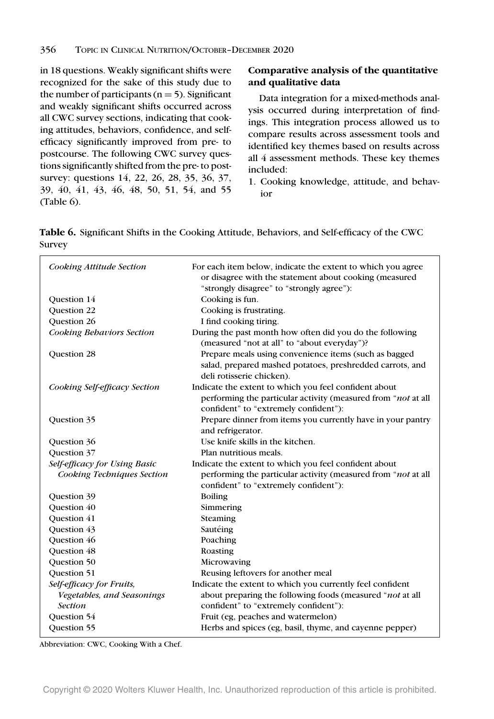in 18 questions. Weakly significant shifts were recognized for the sake of this study due to the number of participants ( $n = 5$ ). Significant and weakly significant shifts occurred across all CWC survey sections, indicating that cooking attitudes, behaviors, confidence, and selfefficacy significantly improved from pre- to postcourse. The following CWC survey questions significantly shifted from the pre- to postsurvey: questions 14, 22, 26, 28, 35, 36, 37, 39, 40, 41, 43, 46, 48, 50, 51, 54, and 55 (Table 6).

## **Comparative analysis of the quantitative and qualitative data**

Data integration for a mixed-methods analysis occurred during interpretation of findings. This integration process allowed us to compare results across assessment tools and identified key themes based on results across all 4 assessment methods. These key themes included:

1. Cooking knowledge, attitude, and behavior

**Table 6.** Significant Shifts in the Cooking Attitude, Behaviors, and Self-efficacy of the CWC Survey

| Cooking Attitude Section          | For each item below, indicate the extent to which you agree<br>or disagree with the statement about cooking (measured |
|-----------------------------------|-----------------------------------------------------------------------------------------------------------------------|
|                                   | "strongly disagree" to "strongly agree"):                                                                             |
| Question 14                       | Cooking is fun.                                                                                                       |
| Question 22                       | Cooking is frustrating.                                                                                               |
| <b>Ouestion 26</b>                | I find cooking tiring.                                                                                                |
| <b>Cooking Behaviors Section</b>  | During the past month how often did you do the following                                                              |
|                                   | (measured "not at all" to "about everyday")?                                                                          |
| Question 28                       | Prepare meals using convenience items (such as bagged                                                                 |
|                                   | salad, prepared mashed potatoes, preshredded carrots, and                                                             |
|                                   | deli rotisserie chicken).                                                                                             |
| Cooking Self-efficacy Section     | Indicate the extent to which you feel confident about                                                                 |
|                                   | performing the particular activity (measured from "not at all                                                         |
|                                   | confident" to "extremely confident"):                                                                                 |
| Question 35                       | Prepare dinner from items you currently have in your pantry                                                           |
|                                   | and refrigerator.                                                                                                     |
| Question 36                       | Use knife skills in the kitchen.                                                                                      |
| Question 37                       | Plan nutritious meals.                                                                                                |
| Self-efficacy for Using Basic     | Indicate the extent to which you feel confident about                                                                 |
| <b>Cooking Techniques Section</b> | performing the particular activity (measured from "not at all                                                         |
|                                   | confident" to "extremely confident"):                                                                                 |
| Question 39                       | <b>Boiling</b>                                                                                                        |
| Question 40                       | Simmering                                                                                                             |
| Question 41                       | Steaming                                                                                                              |
| Question 43                       | Sautéing                                                                                                              |
| Question 46                       | Poaching                                                                                                              |
| Question 48                       | Roasting                                                                                                              |
| Question 50                       | Microwaving                                                                                                           |
| Question 51                       | Reusing leftovers for another meal                                                                                    |
| Self-efficacy for Fruits,         | Indicate the extent to which you currently feel confident                                                             |
| Vegetables, and Seasonings        | about preparing the following foods (measured "not at all                                                             |
| <b>Section</b>                    | confident" to "extremely confident"):                                                                                 |
| Question 54                       | Fruit (eg, peaches and watermelon)                                                                                    |
| Question 55                       | Herbs and spices (eg, basil, thyme, and cayenne pepper)                                                               |

Abbreviation: CWC, Cooking With a Chef.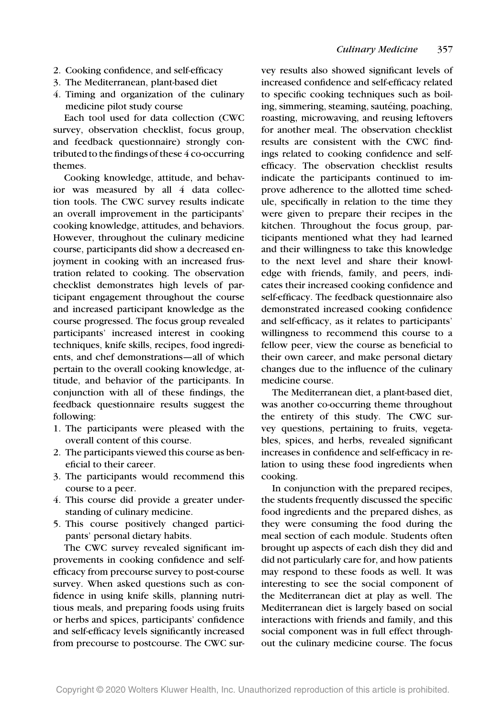- 2. Cooking confidence, and self-efficacy
- 3. The Mediterranean, plant-based diet
- 4. Timing and organization of the culinary medicine pilot study course

Each tool used for data collection (CWC survey, observation checklist, focus group, and feedback questionnaire) strongly contributed to the findings of these 4 co-occurring themes.

Cooking knowledge, attitude, and behavior was measured by all 4 data collection tools. The CWC survey results indicate an overall improvement in the participants' cooking knowledge, attitudes, and behaviors. However, throughout the culinary medicine course, participants did show a decreased enjoyment in cooking with an increased frustration related to cooking. The observation checklist demonstrates high levels of participant engagement throughout the course and increased participant knowledge as the course progressed. The focus group revealed participants' increased interest in cooking techniques, knife skills, recipes, food ingredients, and chef demonstrations—all of which pertain to the overall cooking knowledge, attitude, and behavior of the participants. In conjunction with all of these findings, the feedback questionnaire results suggest the following:

- 1. The participants were pleased with the overall content of this course.
- 2. The participants viewed this course as beneficial to their career.
- 3. The participants would recommend this course to a peer.
- 4. This course did provide a greater understanding of culinary medicine.
- 5. This course positively changed participants' personal dietary habits.

The CWC survey revealed significant improvements in cooking confidence and selfefficacy from precourse survey to post-course survey. When asked questions such as confidence in using knife skills, planning nutritious meals, and preparing foods using fruits or herbs and spices, participants' confidence and self-efficacy levels significantly increased from precourse to postcourse. The CWC survey results also showed significant levels of increased confidence and self-efficacy related to specific cooking techniques such as boiling, simmering, steaming, sautéing, poaching, roasting, microwaving, and reusing leftovers for another meal. The observation checklist results are consistent with the CWC findings related to cooking confidence and selfefficacy. The observation checklist results indicate the participants continued to improve adherence to the allotted time schedule, specifically in relation to the time they were given to prepare their recipes in the kitchen. Throughout the focus group, participants mentioned what they had learned and their willingness to take this knowledge to the next level and share their knowledge with friends, family, and peers, indicates their increased cooking confidence and self-efficacy. The feedback questionnaire also demonstrated increased cooking confidence and self-efficacy, as it relates to participants' willingness to recommend this course to a fellow peer, view the course as beneficial to their own career, and make personal dietary changes due to the influence of the culinary medicine course.

The Mediterranean diet, a plant-based diet, was another co-occurring theme throughout the entirety of this study. The CWC survey questions, pertaining to fruits, vegetables, spices, and herbs, revealed significant increases in confidence and self-efficacy in relation to using these food ingredients when cooking.

In conjunction with the prepared recipes, the students frequently discussed the specific food ingredients and the prepared dishes, as they were consuming the food during the meal section of each module. Students often brought up aspects of each dish they did and did not particularly care for, and how patients may respond to these foods as well. It was interesting to see the social component of the Mediterranean diet at play as well. The Mediterranean diet is largely based on social interactions with friends and family, and this social component was in full effect throughout the culinary medicine course. The focus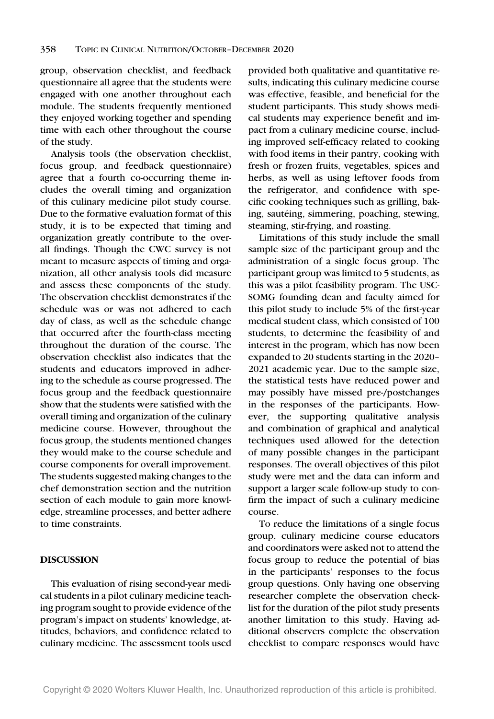group, observation checklist, and feedback questionnaire all agree that the students were engaged with one another throughout each module. The students frequently mentioned they enjoyed working together and spending time with each other throughout the course of the study.

Analysis tools (the observation checklist, focus group, and feedback questionnaire) agree that a fourth co-occurring theme includes the overall timing and organization of this culinary medicine pilot study course. Due to the formative evaluation format of this study, it is to be expected that timing and organization greatly contribute to the overall findings. Though the CWC survey is not meant to measure aspects of timing and organization, all other analysis tools did measure and assess these components of the study. The observation checklist demonstrates if the schedule was or was not adhered to each day of class, as well as the schedule change that occurred after the fourth-class meeting throughout the duration of the course. The observation checklist also indicates that the students and educators improved in adhering to the schedule as course progressed. The focus group and the feedback questionnaire show that the students were satisfied with the overall timing and organization of the culinary medicine course. However, throughout the focus group, the students mentioned changes they would make to the course schedule and course components for overall improvement. The students suggested making changes to the chef demonstration section and the nutrition section of each module to gain more knowledge, streamline processes, and better adhere to time constraints.

## **DISCUSSION**

This evaluation of rising second-year medical students in a pilot culinary medicine teaching program sought to provide evidence of the program's impact on students' knowledge, attitudes, behaviors, and confidence related to culinary medicine. The assessment tools used provided both qualitative and quantitative results, indicating this culinary medicine course was effective, feasible, and beneficial for the student participants. This study shows medical students may experience benefit and impact from a culinary medicine course, including improved self-efficacy related to cooking with food items in their pantry, cooking with fresh or frozen fruits, vegetables, spices and herbs, as well as using leftover foods from the refrigerator, and confidence with specific cooking techniques such as grilling, baking, sautéing, simmering, poaching, stewing, steaming, stir-frying, and roasting.

Limitations of this study include the small sample size of the participant group and the administration of a single focus group. The participant group was limited to 5 students, as this was a pilot feasibility program. The USC-SOMG founding dean and faculty aimed for this pilot study to include 5% of the first-year medical student class, which consisted of 100 students, to determine the feasibility of and interest in the program, which has now been expanded to 20 students starting in the 2020– 2021 academic year. Due to the sample size, the statistical tests have reduced power and may possibly have missed pre-/postchanges in the responses of the participants. However, the supporting qualitative analysis and combination of graphical and analytical techniques used allowed for the detection of many possible changes in the participant responses. The overall objectives of this pilot study were met and the data can inform and support a larger scale follow-up study to confirm the impact of such a culinary medicine course.

To reduce the limitations of a single focus group, culinary medicine course educators and coordinators were asked not to attend the focus group to reduce the potential of bias in the participants' responses to the focus group questions. Only having one observing researcher complete the observation checklist for the duration of the pilot study presents another limitation to this study. Having additional observers complete the observation checklist to compare responses would have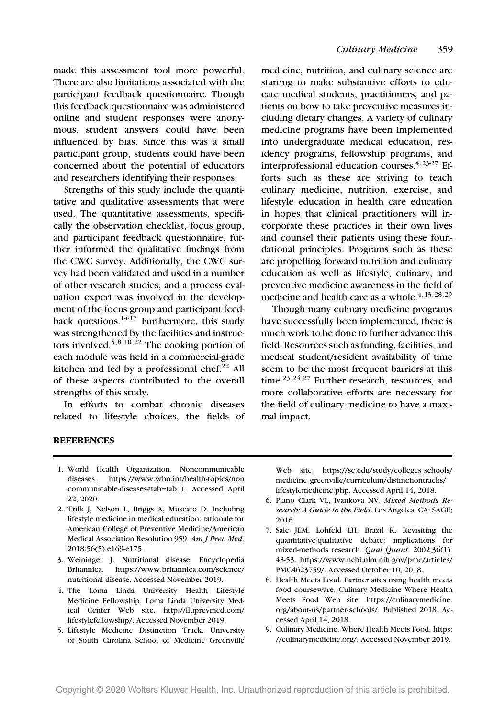made this assessment tool more powerful. There are also limitations associated with the participant feedback questionnaire. Though this feedback questionnaire was administered online and student responses were anonymous, student answers could have been influenced by bias. Since this was a small participant group, students could have been concerned about the potential of educators and researchers identifying their responses.

Strengths of this study include the quantitative and qualitative assessments that were used. The quantitative assessments, specifically the observation checklist, focus group, and participant feedback questionnaire, further informed the qualitative findings from the CWC survey. Additionally, the CWC survey had been validated and used in a number of other research studies, and a process evaluation expert was involved in the development of the focus group and participant feedback questions. $14-17$  Furthermore, this study was strengthened by the facilities and instructors involved.5,8,10,22 The cooking portion of each module was held in a commercial-grade kitchen and led by a professional chef.<sup>22</sup> All of these aspects contributed to the overall strengths of this study.

In efforts to combat chronic diseases related to lifestyle choices, the fields of

medicine, nutrition, and culinary science are starting to make substantive efforts to educate medical students, practitioners, and patients on how to take preventive measures including dietary changes. A variety of culinary medicine programs have been implemented into undergraduate medical education, residency programs, fellowship programs, and interprofessional education courses.<sup>4,23-27</sup> Efforts such as these are striving to teach culinary medicine, nutrition, exercise, and lifestyle education in health care education in hopes that clinical practitioners will incorporate these practices in their own lives and counsel their patients using these foundational principles. Programs such as these are propelling forward nutrition and culinary education as well as lifestyle, culinary, and preventive medicine awareness in the field of medicine and health care as a whole. $4,13,28,29$ 

Though many culinary medicine programs have successfully been implemented, there is much work to be done to further advance this field. Resources such as funding, facilities, and medical student/resident availability of time seem to be the most frequent barriers at this time.<sup>23,24,27</sup> Further research, resources, and more collaborative efforts are necessary for the field of culinary medicine to have a maximal impact.

#### **REFERENCES**

- 1. World Health Organization. Noncommunicable diseases. [https://www.who.int/health-topics/non](https://www.who.int/health-topics/noncommunicable-diseases#tab=tab_1) [communicable-diseases#tab=tab\\_1.](https://www.who.int/health-topics/noncommunicable-diseases#tab=tab_1) Accessed April 22, 2020.
- 2. Trilk J, Nelson L, Briggs A, Muscato D. Including lifestyle medicine in medical education: rationale for American College of Preventive Medicine/American Medical Association Resolution 959. *Am J Prev Med*. 2018;56(5):e169-e175.
- 3. Weininger J. Nutritional disease. Encyclopedia Britannica. [https://www.britannica.com/science/](https://www.britannica.com/science/nutritional-disease) [nutritional-disease.](https://www.britannica.com/science/nutritional-disease) Accessed November 2019.
- 4. The Loma Linda University Health Lifestyle Medicine Fellowship. Loma Linda University Medical Center Web site. [http://lluprevmed.com/](http://lluprevmed.com/lifestylefellowship/) [lifestylefellowship/.](http://lluprevmed.com/lifestylefellowship/) Accessed November 2019.
- 5. Lifestyle Medicine Distinction Track. University of South Carolina School of Medicine Greenville

Web site. [https://sc.edu/study/colleges](https://sc.edu/study/colleges_schools/medicine_greenville/curriculum/distinctiontracks/lifestylemedicine.php) schools/ medicine [greenville/curriculum/distinctiontracks/](https://sc.edu/study/colleges_schools/medicine_greenville/curriculum/distinctiontracks/lifestylemedicine.php) [lifestylemedicine.php.](https://sc.edu/study/colleges_schools/medicine_greenville/curriculum/distinctiontracks/lifestylemedicine.php) Accessed April 14, 2018.

- 6. Plano Clark VL, Ivankova NV. *Mixed Methods Research: A Guide to the Field*. Los Angeles, CA: SAGE; 2016.
- 7. Sale JEM, Lohfeld LH, Brazil K. Revisiting the quantitative-qualitative debate: implications for mixed-methods research. *Qual Quant*. 2002;36(1): 43-53. [https://www.ncbi.nlm.nih.gov/pmc/articles/](https://www.ncbi.nlm.nih.gov/pmc/articles/PMC4623759/) [PMC4623759/.](https://www.ncbi.nlm.nih.gov/pmc/articles/PMC4623759/) Accessed October 10, 2018.
- 8. Health Meets Food. Partner sites using health meets food courseware. Culinary Medicine Where Health Meets Food Web site. [https://culinarymedicine.](https://culinarymedicine.org/about-us/partner-schools/) [org/about-us/partner-schools/.](https://culinarymedicine.org/about-us/partner-schools/) Published 2018. Accessed April 14, 2018.
- 9. Culinary Medicine. Where Health Meets Food. [https:](https://culinarymedicine.org/) [//culinarymedicine.org/.](https://culinarymedicine.org/) Accessed November 2019.